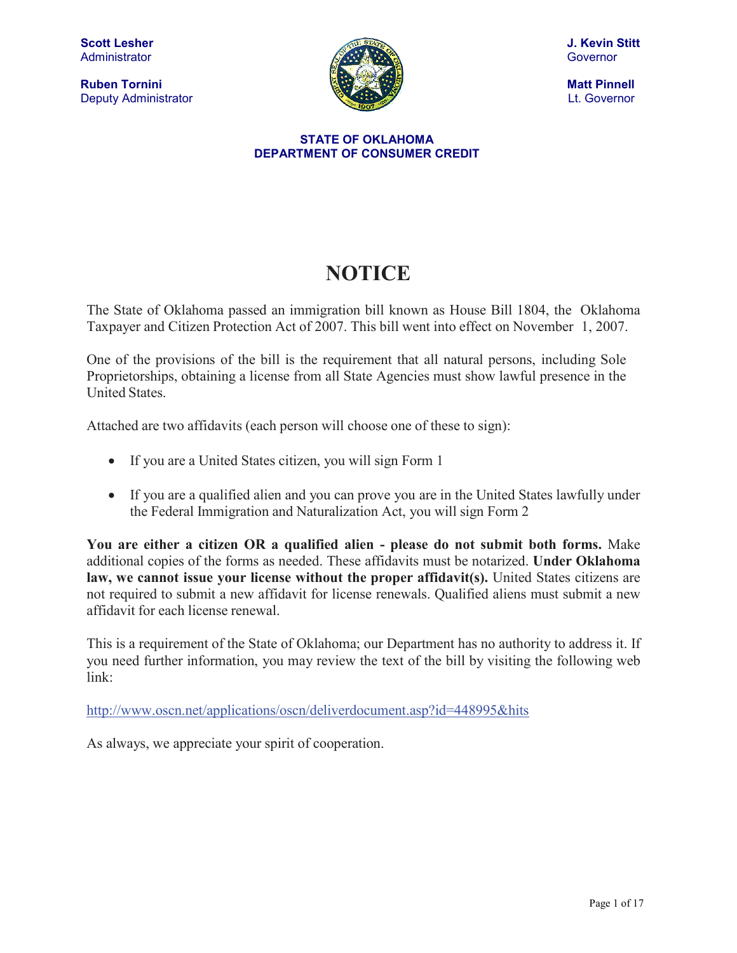**Ruben Tornini** Matt Pinnell Matt Pinnell Matt Pinnell Matt Pinnell Matt Pinnell Matt Pinnell Matt Pinnell Matt Pinnell Deputy Administrator **Let. Covernor Let. Governor** 



#### **STATE OF OKLAHOMA DEPARTMENT OF CONSUMER CREDIT**

# **NOTICE**

The State of Oklahoma passed an immigration bill known as House Bill 1804, the Oklahoma Taxpayer and Citizen Protection Act of 2007. This bill went into effect on November 1, 2007.

One of the provisions of the bill is the requirement that all natural persons, including Sole Proprietorships, obtaining a license from all State Agencies must show lawful presence in the United States.

Attached are two affidavits (each person will choose one of these to sign):

- If you are a United States citizen, you will sign Form 1
- If you are a qualified alien and you can prove you are in the United States lawfully under the Federal Immigration and Naturalization Act, you will sign Form 2

**You are either a citizen OR a qualified alien - please do not submit both forms.** Make additional copies of the forms as needed. These affidavits must be notarized. **Under Oklahoma law, we cannot issue your license without the proper affidavit(s).** United States citizens are not required to submit a new affidavit for license renewals. Qualified aliens must submit a new affidavit for each license renewal.

This is a requirement of the State of Oklahoma; our Department has no authority to address it. If you need further information, you may review the text of the bill by visiting the following web link:

<http://www.oscn.net/applications/oscn/deliverdocument.asp?id=448995&hits>

As always, we appreciate your spirit of cooperation.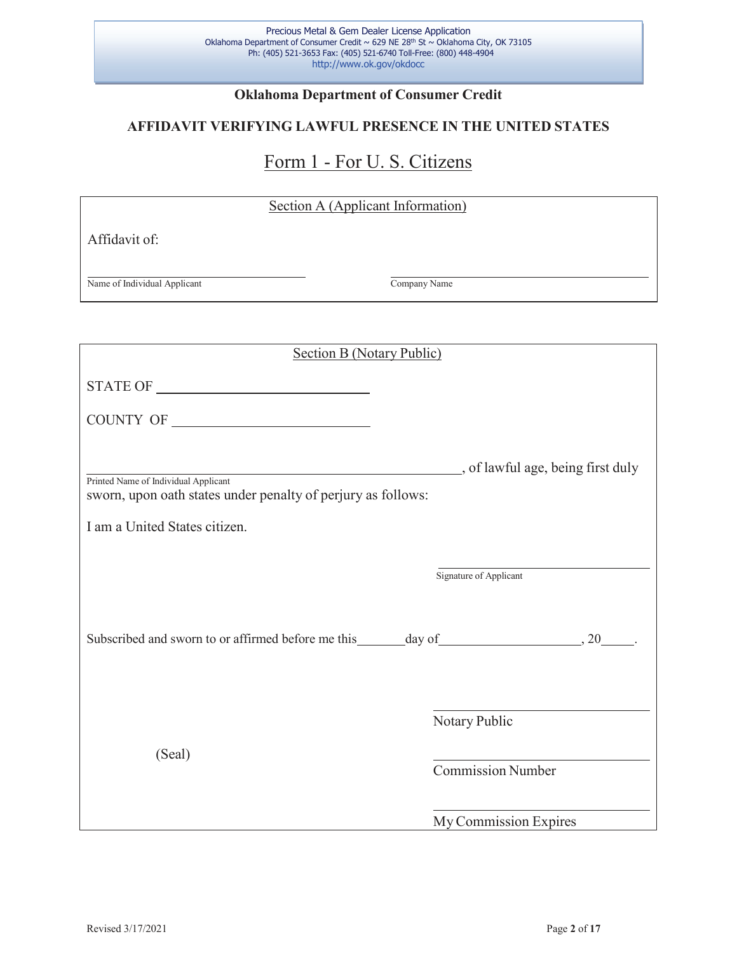## **Oklahoma Department of Consumer Credit**

## **AFFIDAVIT VERIFYING LAWFUL PRESENCE IN THE UNITED STATES**

## Form 1 - For U. S. Citizens

| Section A (Applicant Information)                                                                                                                 |                          |  |
|---------------------------------------------------------------------------------------------------------------------------------------------------|--------------------------|--|
| Affidavit of:                                                                                                                                     |                          |  |
|                                                                                                                                                   |                          |  |
| Name of Individual Applicant                                                                                                                      | Company Name             |  |
|                                                                                                                                                   |                          |  |
| <b>Section B (Notary Public)</b>                                                                                                                  |                          |  |
|                                                                                                                                                   |                          |  |
|                                                                                                                                                   |                          |  |
|                                                                                                                                                   |                          |  |
| ________, of lawful age, being first duly<br>Printed Name of Individual Applicant<br>sworn, upon oath states under penalty of perjury as follows: |                          |  |
| I am a United States citizen.                                                                                                                     |                          |  |
|                                                                                                                                                   |                          |  |
|                                                                                                                                                   | Signature of Applicant   |  |
|                                                                                                                                                   |                          |  |
|                                                                                                                                                   |                          |  |
|                                                                                                                                                   |                          |  |
|                                                                                                                                                   |                          |  |
|                                                                                                                                                   | Notary Public            |  |
| (Seal)                                                                                                                                            | <b>Commission Number</b> |  |
|                                                                                                                                                   |                          |  |
|                                                                                                                                                   | My Commission Expires    |  |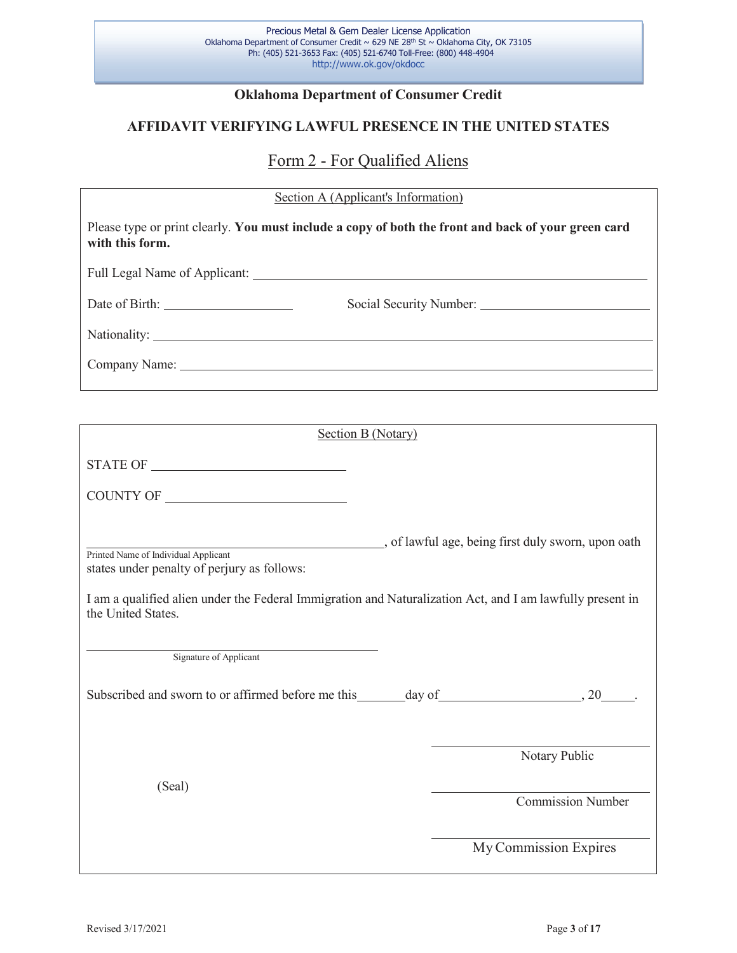## **Oklahoma Department of Consumer Credit**

## **AFFIDAVIT VERIFYING LAWFUL PRESENCE IN THE UNITED STATES**

## Form 2 - For Qualified Aliens

## Section A (Applicant's Information)

| Please type or print clearly. You must include a copy of both the front and back of your green card<br>with this form.                                                                                                 |  |
|------------------------------------------------------------------------------------------------------------------------------------------------------------------------------------------------------------------------|--|
|                                                                                                                                                                                                                        |  |
|                                                                                                                                                                                                                        |  |
|                                                                                                                                                                                                                        |  |
|                                                                                                                                                                                                                        |  |
|                                                                                                                                                                                                                        |  |
| Section B (Notary)                                                                                                                                                                                                     |  |
|                                                                                                                                                                                                                        |  |
|                                                                                                                                                                                                                        |  |
| Printed Name of Individual Applicant<br>states under penalty of perjury as follows:<br>I am a qualified alien under the Federal Immigration and Naturalization Act, and I am lawfully present in<br>the United States. |  |
| Signature of Applicant                                                                                                                                                                                                 |  |
|                                                                                                                                                                                                                        |  |
| Notary Public                                                                                                                                                                                                          |  |
| (Seal)<br><b>Commission Number</b>                                                                                                                                                                                     |  |
| My Commission Expires                                                                                                                                                                                                  |  |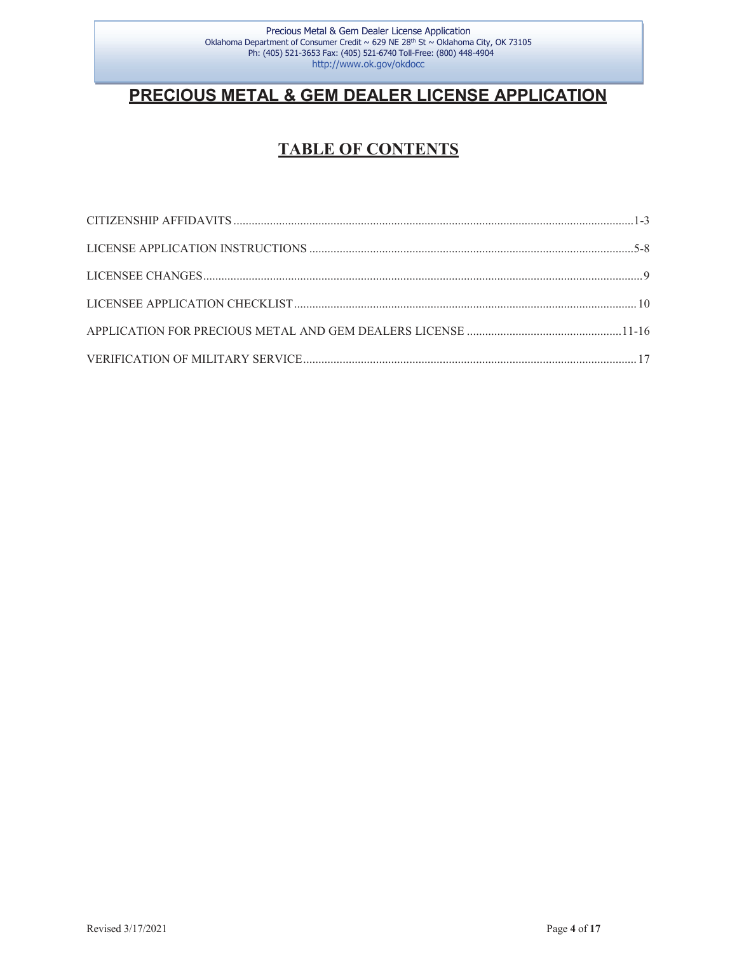## **PRECIOUS METAL & GEM DEALER LICENSE APPLICATION**

## **TABLE OF CONTENTS**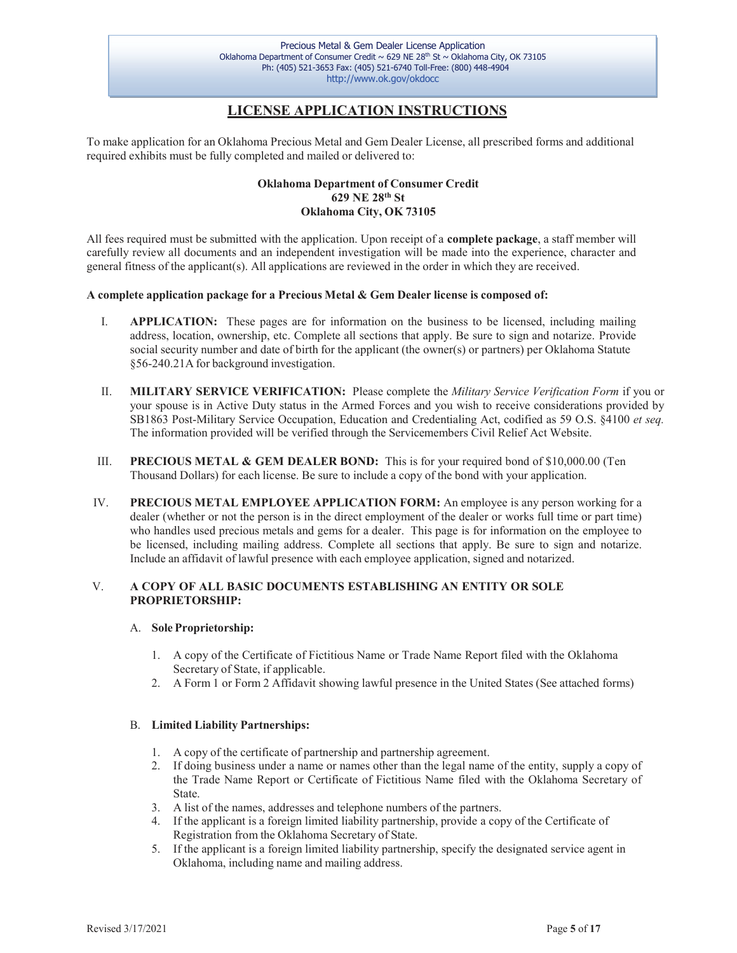## **LICENSE APPLICATION INSTRUCTIONS**

<span id="page-4-0"></span>To make application for an Oklahoma Precious Metal and Gem Dealer License, all prescribed forms and additional required exhibits must be fully completed and mailed or delivered to:

#### **Oklahoma Department of Consumer Credit 629 NE 28th St Oklahoma City, OK 73105**

All fees required must be submitted with the application. Upon receipt of a **complete package**, a staff member will carefully review all documents and an independent investigation will be made into the experience, character and general fitness of the applicant(s). All applications are reviewed in the order in which they are received.

#### **A complete application package for a Precious Metal & Gem Dealer license is composed of:**

- I. **APPLICATION:** These pages are for information on the business to be licensed, including mailing address, location, ownership, etc. Complete all sections that apply. Be sure to sign and notarize. Provide social security number and date of birth for the applicant (the owner(s) or partners) per Oklahoma Statute §56-240.21A for background investigation.
- II. **MILITARY SERVICE VERIFICATION:** Please complete the *Military Service Verification Form* if you or your spouse is in Active Duty status in the Armed Forces and you wish to receive considerations provided by SB1863 Post-Military Service Occupation, Education and Credentialing Act, codified as 59 O.S. §4100 *et seq.* The information provided will be verified through the Servicemembers Civil Relief Act Website.
- III. **PRECIOUS METAL & GEM DEALER BOND:** This is for your required bond of \$10,000.00 (Ten Thousand Dollars) for each license. Be sure to include a copy of the bond with your application.
- IV. **PRECIOUS METAL EMPLOYEE APPLICATION FORM:** An employee is any person working for a dealer (whether or not the person is in the direct employment of the dealer or works full time or part time) who handles used precious metals and gems for a dealer. This page is for information on the employee to be licensed, including mailing address. Complete all sections that apply. Be sure to sign and notarize. Include an affidavit of lawful presence with each employee application, signed and notarized.

#### V. **A COPY OF ALL BASIC DOCUMENTS ESTABLISHING AN ENTITY OR SOLE PROPRIETORSHIP:**

#### A. **Sole Proprietorship:**

- 1. A copy of the Certificate of Fictitious Name or Trade Name Report filed with the Oklahoma Secretary of State, if applicable.
- 2. A Form 1 or Form 2 Affidavit showing lawful presence in the United States (See attached forms)

#### B. **Limited Liability Partnerships:**

- 1. A copy of the certificate of partnership and partnership agreement.
- 2. If doing business under a name or names other than the legal name of the entity, supply a copy of the Trade Name Report or Certificate of Fictitious Name filed with the Oklahoma Secretary of State.
- 3. A list of the names, addresses and telephone numbers of the partners.
- 4. If the applicant is a foreign limited liability partnership, provide a copy of the Certificate of Registration from the Oklahoma Secretary of State.
- 5. If the applicant is a foreign limited liability partnership, specify the designated service agent in Oklahoma, including name and mailing address.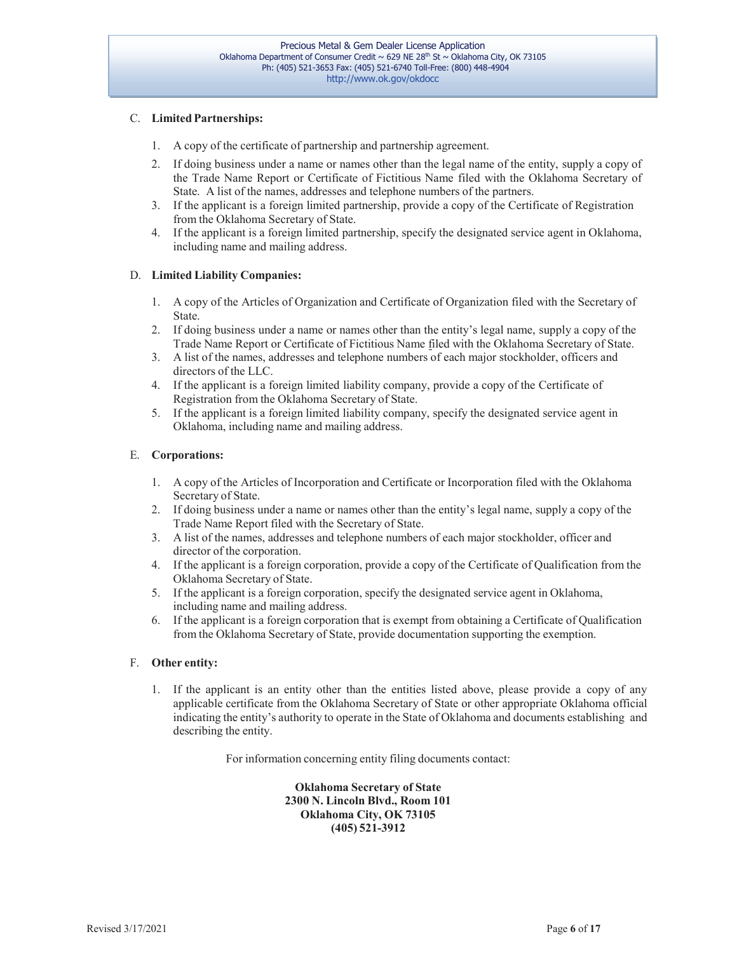#### C. **Limited Partnerships:**

- 1. A copy of the certificate of partnership and partnership agreement.
- 2. If doing business under a name or names other than the legal name of the entity, supply a copy of the Trade Name Report or Certificate of Fictitious Name filed with the Oklahoma Secretary of State. A list of the names, addresses and telephone numbers of the partners.
- 3. If the applicant is a foreign limited partnership, provide a copy of the Certificate of Registration from the Oklahoma Secretary of State.
- 4. If the applicant is a foreign limited partnership, specify the designated service agent in Oklahoma, including name and mailing address.

#### D. **Limited Liability Companies:**

- 1. A copy of the Articles of Organization and Certificate of Organization filed with the Secretary of State.
- 2. If doing business under a name or names other than the entity's legal name, supply a copy of the Trade Name Report or Certificate of Fictitious Name filed with the Oklahoma Secretary of State.
- 3. A list of the names, addresses and telephone numbers of each major stockholder, officers and directors of the LLC.
- 4. If the applicant is a foreign limited liability company, provide a copy of the Certificate of Registration from the Oklahoma Secretary of State.
- 5. If the applicant is a foreign limited liability company, specify the designated service agent in Oklahoma, including name and mailing address.

#### E. **Corporations:**

- 1. A copy of the Articles of Incorporation and Certificate or Incorporation filed with the Oklahoma Secretary of State.
- 2. If doing business under a name or names other than the entity's legal name, supply a copy of the Trade Name Report filed with the Secretary of State.
- 3. A list of the names, addresses and telephone numbers of each major stockholder, officer and director of the corporation.
- 4. If the applicant is a foreign corporation, provide a copy of the Certificate of Qualification from the Oklahoma Secretary of State.
- 5. If the applicant is a foreign corporation, specify the designated service agent in Oklahoma, including name and mailing address.
- 6. If the applicant is a foreign corporation that is exempt from obtaining a Certificate of Qualification from the Oklahoma Secretary of State, provide documentation supporting the exemption.

#### F. **Other entity:**

1. If the applicant is an entity other than the entities listed above, please provide a copy of any applicable certificate from the Oklahoma Secretary of State or other appropriate Oklahoma official indicating the entity's authority to operate in the State of Oklahoma and documents establishing and describing the entity.

For information concerning entity filing documents contact:

**Oklahoma Secretary of State 2300 N. Lincoln Blvd., Room 101 Oklahoma City, OK 73105 (405) 521-3912**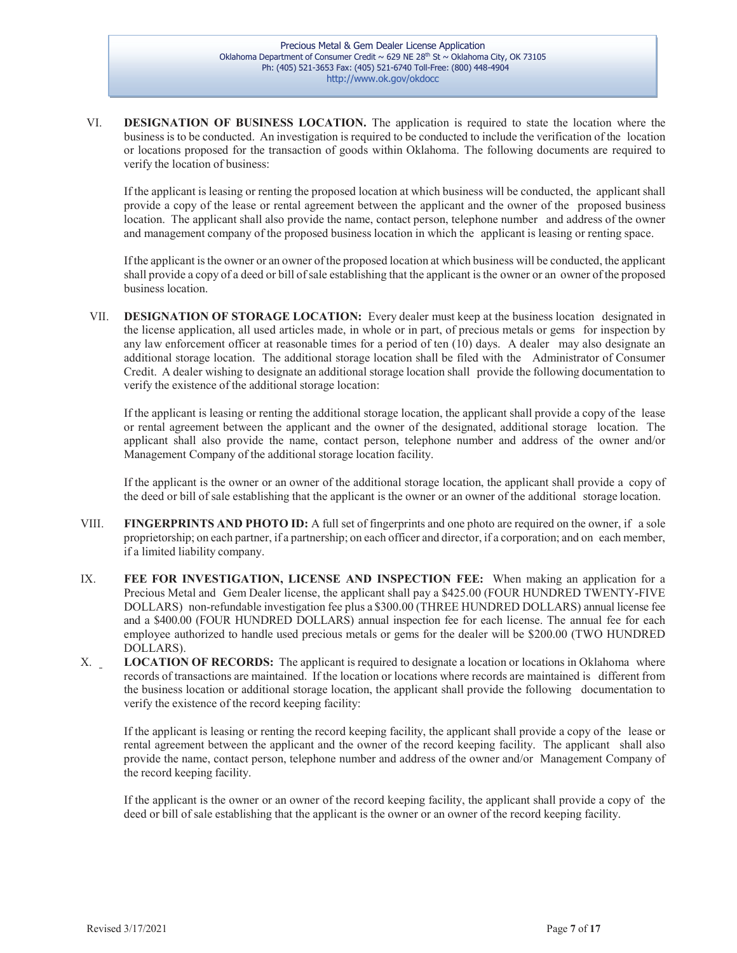VI. **DESIGNATION OF BUSINESS LOCATION.** The application is required to state the location where the businessis to be conducted. An investigation is required to be conducted to include the verification of the location or locations proposed for the transaction of goods within Oklahoma. The following documents are required to verify the location of business:

If the applicant is leasing or renting the proposed location at which business will be conducted, the applicant shall provide a copy of the lease or rental agreement between the applicant and the owner of the proposed business location. The applicant shall also provide the name, contact person, telephone number and address of the owner and management company of the proposed business location in which the applicant is leasing or renting space.

Ifthe applicant isthe owner or an owner ofthe proposed location at which business will be conducted, the applicant shall provide a copy of a deed or bill of sale establishing that the applicant is the owner or an owner of the proposed business location.

VII. **DESIGNATION OF STORAGE LOCATION:** Every dealer must keep at the business location designated in the license application, all used articles made, in whole or in part, of precious metals or gems for inspection by any law enforcement officer at reasonable times for a period of ten (10) days. A dealer may also designate an additional storage location. The additional storage location shall be filed with the Administrator of Consumer Credit. A dealer wishing to designate an additional storage location shall provide the following documentation to verify the existence of the additional storage location:

If the applicant is leasing or renting the additional storage location, the applicant shall provide a copy of the lease or rental agreement between the applicant and the owner of the designated, additional storage location. The applicant shall also provide the name, contact person, telephone number and address of the owner and/or Management Company of the additional storage location facility.

If the applicant is the owner or an owner of the additional storage location, the applicant shall provide a copy of the deed or bill of sale establishing that the applicant is the owner or an owner of the additional storage location.

- VIII. **FINGERPRINTS AND PHOTO ID:** A full set of fingerprints and one photo are required on the owner, if a sole proprietorship; on each partner, if a partnership; on each officer and director, if a corporation; and on each member, if a limited liability company.
- IX. **FEE FOR INVESTIGATION, LICENSE AND INSPECTION FEE:** When making an application for a Precious Metal and Gem Dealer license, the applicant shall pay a \$425.00 (FOUR HUNDRED TWENTY-FIVE DOLLARS) non-refundable investigation fee plus a \$300.00 (THREE HUNDRED DOLLARS) annual license fee and a \$400.00 (FOUR HUNDRED DOLLARS) annual inspection fee for each license. The annual fee for each employee authorized to handle used precious metals or gems for the dealer will be \$200.00 (TWO HUNDRED DOLLARS).
- X. **LOCATION OF RECORDS:** The applicant is required to designate a location or locations in Oklahoma where records of transactions are maintained. If the location or locations where records are maintained is different from the business location or additional storage location, the applicant shall provide the following documentation to verify the existence of the record keeping facility:

If the applicant is leasing or renting the record keeping facility, the applicant shall provide a copy of the lease or rental agreement between the applicant and the owner of the record keeping facility. The applicant shall also provide the name, contact person, telephone number and address of the owner and/or Management Company of the record keeping facility.

If the applicant is the owner or an owner of the record keeping facility, the applicant shall provide a copy of the deed or bill of sale establishing that the applicant is the owner or an owner of the record keeping facility.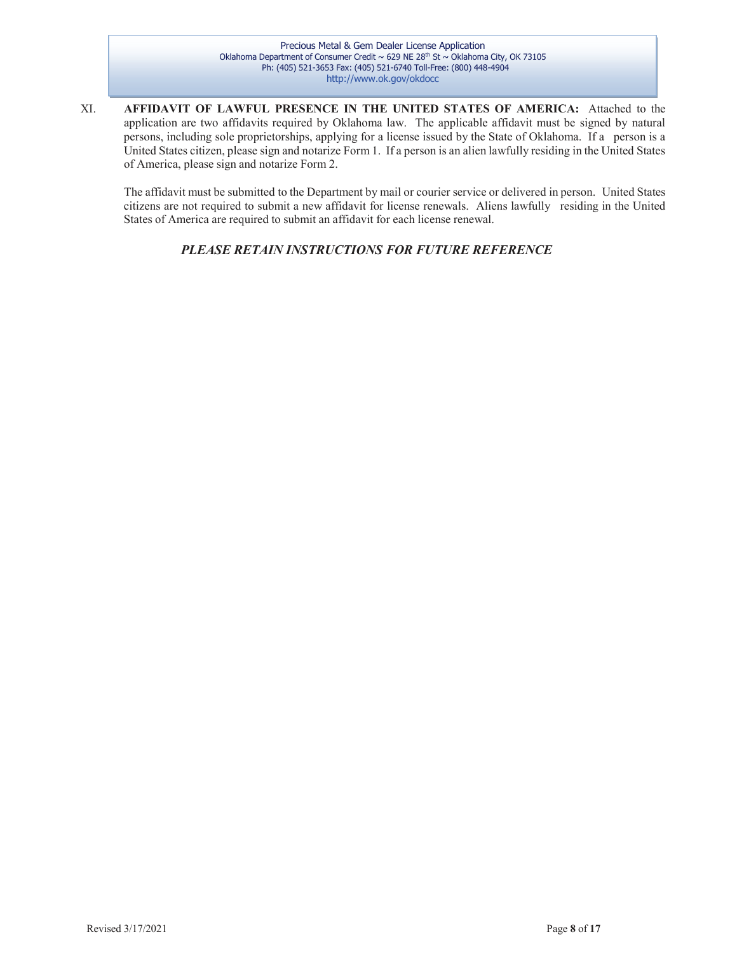XI. **AFFIDAVIT OF LAWFUL PRESENCE IN THE UNITED STATES OF AMERICA:** Attached to the application are two affidavits required by Oklahoma law. The applicable affidavit must be signed by natural persons, including sole proprietorships, applying for a license issued by the State of Oklahoma. If a person is a United States citizen, please sign and notarize Form 1. If a person is an alien lawfully residing in the United States of America, please sign and notarize Form 2.

The affidavit must be submitted to the Department by mail or courier service or delivered in person. United States citizens are not required to submit a new affidavit for license renewals. Aliens lawfully residing in the United States of America are required to submit an affidavit for each license renewal.

*PLEASE RETAIN INSTRUCTIONS FOR FUTURE REFERENCE*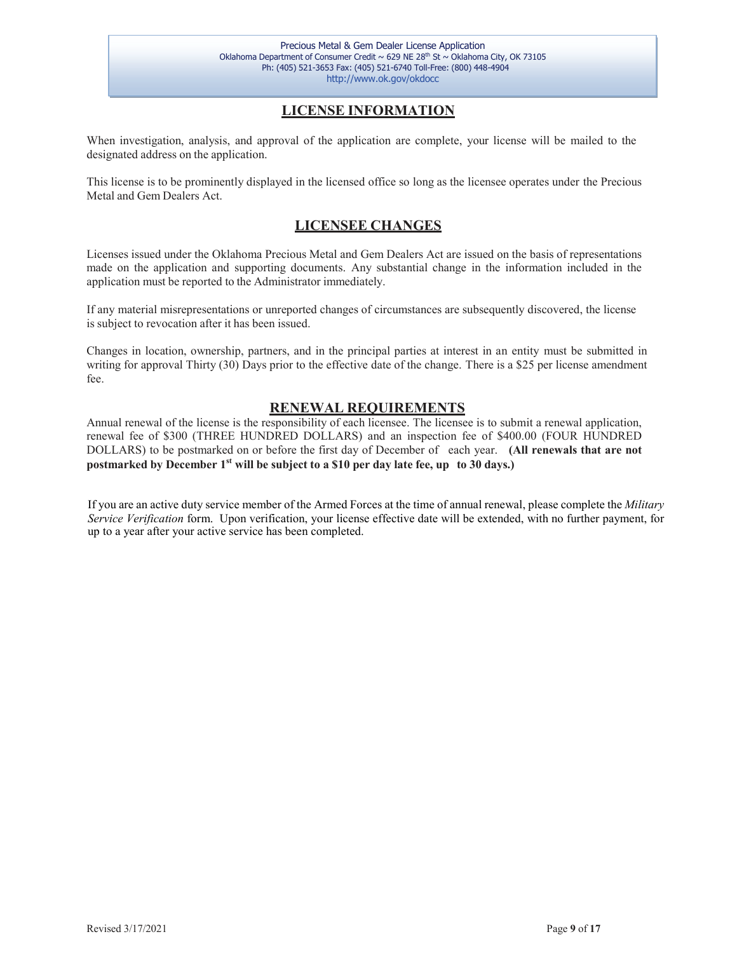## **LICENSE INFORMATION**

When investigation, analysis, and approval of the application are complete, your license will be mailed to the designated address on the application.

This license is to be prominently displayed in the licensed office so long as the licensee operates under the Precious Metal and Gem Dealers Act.

### **LICENSEE CHANGES**

<span id="page-8-0"></span>Licenses issued under the Oklahoma Precious Metal and Gem Dealers Act are issued on the basis of representations made on the application and supporting documents. Any substantial change in the information included in the application must be reported to the Administrator immediately.

If any material misrepresentations or unreported changes of circumstances are subsequently discovered, the license is subject to revocation after it has been issued.

Changes in location, ownership, partners, and in the principal parties at interest in an entity must be submitted in writing for approval Thirty (30) Days prior to the effective date of the change. There is a \$25 per license amendment fee.

### **RENEWAL REQUIREMENTS**

Annual renewal of the license is the responsibility of each licensee. The licensee is to submit a renewal application, renewal fee of \$300 (THREE HUNDRED DOLLARS) and an inspection fee of \$400.00 (FOUR HUNDRED DOLLARS) to be postmarked on or before the first day of December of each year. **(All renewals that are not postmarked by December 1st will be subject to a \$10 per day late fee, up to 30 days.)**

If you are an active duty service member of the Armed Forces at the time of annual renewal, please complete the *Military Service Verification* form. Upon verification, your license effective date will be extended, with no further payment, for up to a year after your active service has been completed.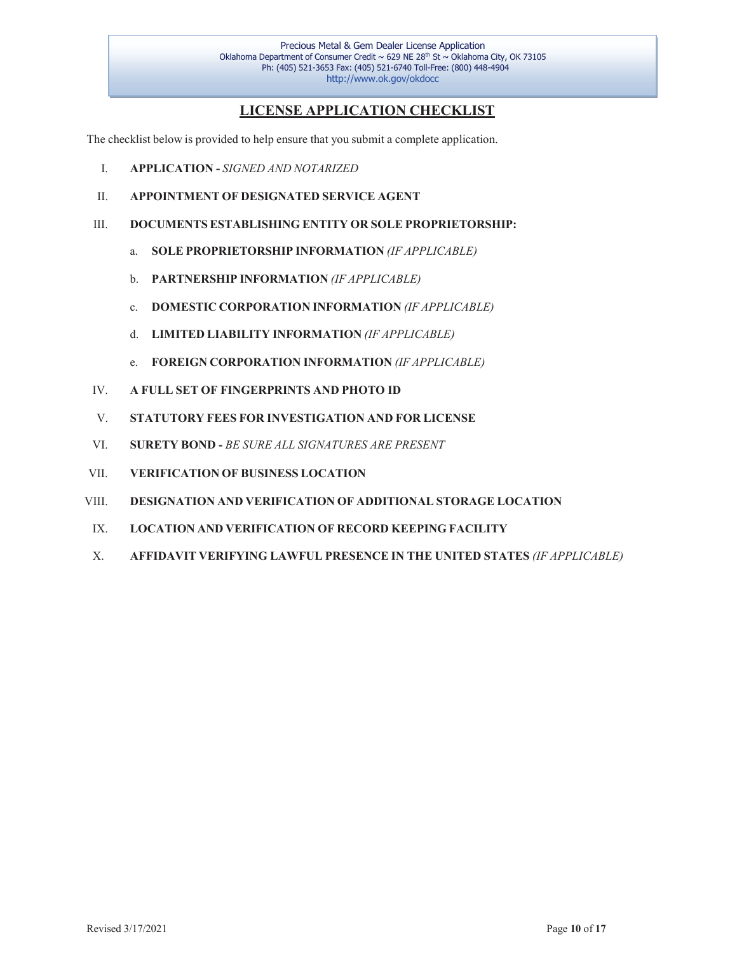## **LICENSE APPLICATION CHECKLIST**

The checklist below is provided to help ensure that you submit a complete application.

- I. **APPLICATION** *SIGNED AND NOTARIZED*
- II. **APPOINTMENT OF DESIGNATED SERVICE AGENT**
- III. **DOCUMENTS ESTABLISHING ENTITY OR SOLE PROPRIETORSHIP:**
	- a. **SOLE PROPRIETORSHIP INFORMATION** *(IF APPLICABLE)*
	- b. **PARTNERSHIP INFORMATION** *(IF APPLICABLE)*
	- c. **DOMESTIC CORPORATION INFORMATION** *(IF APPLICABLE)*
	- d. **LIMITED LIABILITY INFORMATION** *(IF APPLICABLE)*
	- e. **FOREIGN CORPORATION INFORMATION** *(IF APPLICABLE)*
- IV. **A FULL SET OF FINGERPRINTS AND PHOTO ID**
- V. **STATUTORY FEES FOR INVESTIGATION AND FOR LICENSE**
- VI. **SURETY BOND** *BE SURE ALL SIGNATURES ARE PRESENT*
- VII. **VERIFICATION OF BUSINESS LOCATION**
- VIII. **DESIGNATION AND VERIFICATION OF ADDITIONAL STORAGE LOCATION**
- IX. **LOCATION AND VERIFICATION OF RECORD KEEPING FACILITY**
- X. **AFFIDAVIT VERIFYING LAWFUL PRESENCE IN THE UNITED STATES** *(IF APPLICABLE)*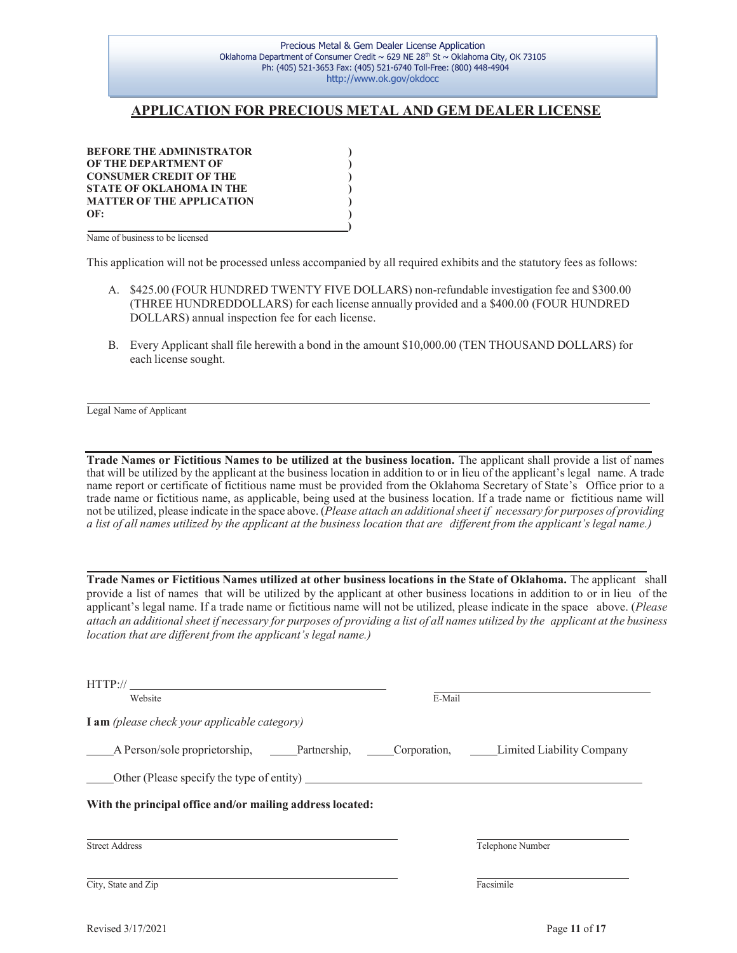### **APPLICATION FOR PRECIOUS METAL AND GEM DEALER LICENSE**

**BEFORE THE ADMINISTRATOR ) OF THE DEPARTMENT OF ) CONSUMER CREDIT OF THE ) STATE OF OKLAHOMA IN THE ) MATTER OF THE APPLICATION ) OF: )**

 **)** Name of business to be licensed

This application will not be processed unless accompanied by all required exhibits and the statutory fees as follows:

- A. \$425.00 (FOUR HUNDRED TWENTY FIVE DOLLARS) non-refundable investigation fee and \$300.00 (THREE HUNDREDDOLLARS) for each license annually provided and a \$400.00 (FOUR HUNDRED DOLLARS) annual inspection fee for each license.
- B. Every Applicant shall file herewith a bond in the amount \$10,000.00 (TEN THOUSAND DOLLARS) for each license sought.

Legal Name of Applicant

**Trade Names or Fictitious Names to be utilized at the business location.** The applicant shall provide a list of names that will be utilized by the applicant at the business location in addition to or in lieu of the applicant's legal name. A trade name report or certificate of fictitious name must be provided from the Oklahoma Secretary of State's Office prior to a trade name or fictitious name, as applicable, being used at the business location. If a trade name or fictitious name will not be utilized, please indicate in the space above. (*Please attach an additionalsheet if necessary for purposes of providing* a list of all names utilized by the applicant at the business location that are different from the applicant's legal name.)

**Trade Names or Fictitious Names utilized at other business locations in the State of Oklahoma.** The applicant shall provide a list of names that will be utilized by the applicant at other business locations in addition to or in lieu of the applicant's legal name. If a trade name or fictitious name will not be utilized, please indicate in the space above. (*Please* attach an additional sheet if necessary for purposes of providing a list of all names utilized by the applicant at the business *location that are different from the applicant's legal name.)*

| HTTP://                                                                           |        |                  |
|-----------------------------------------------------------------------------------|--------|------------------|
| Website                                                                           | E-Mail |                  |
| <b>I</b> am (please check your applicable category)                               |        |                  |
| A Person/sole proprietorship, Partnership, Corporation, Limited Liability Company |        |                  |
| Other (Please specify the type of entity) $\qquad \qquad$                         |        |                  |
| With the principal office and/or mailing address located:                         |        |                  |
| <b>Street Address</b>                                                             |        | Telephone Number |
| City, State and Zip                                                               |        | Facsimile        |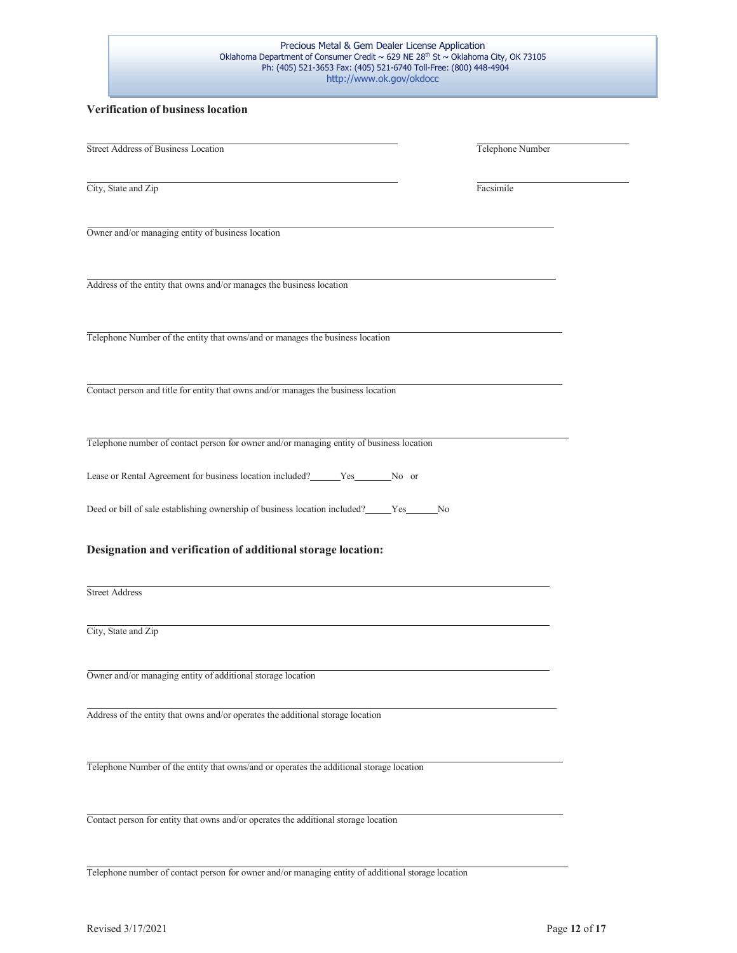#### **Verification of business location**

| <b>Street Address of Business Location</b>                                                  | Telephone Number |
|---------------------------------------------------------------------------------------------|------------------|
|                                                                                             |                  |
| City, State and Zip                                                                         | Facsimile        |
| Owner and/or managing entity of business location                                           |                  |
| Address of the entity that owns and/or manages the business location                        |                  |
| Telephone Number of the entity that owns/and or manages the business location               |                  |
| Contact person and title for entity that owns and/or manages the business location          |                  |
| Telephone number of contact person for owner and/or managing entity of business location    |                  |
| Lease or Rental Agreement for business location included? ______ Yes________ No or          |                  |
| Deed or bill of sale establishing ownership of business location included? _____Yes______No |                  |
| Designation and verification of additional storage location:                                |                  |
| <b>Street Address</b>                                                                       |                  |
| City, State and Zip                                                                         |                  |
| Owner and/or managing entity of additional storage location                                 |                  |
| Address of the entity that owns and/or operates the additional storage location             |                  |
| Telephone Number of the entity that owns/and or operates the additional storage location    |                  |
| Contact person for entity that owns and/or operates the additional storage location         |                  |
|                                                                                             |                  |

Telephone number of contact person for owner and/or managing entity of additional storage location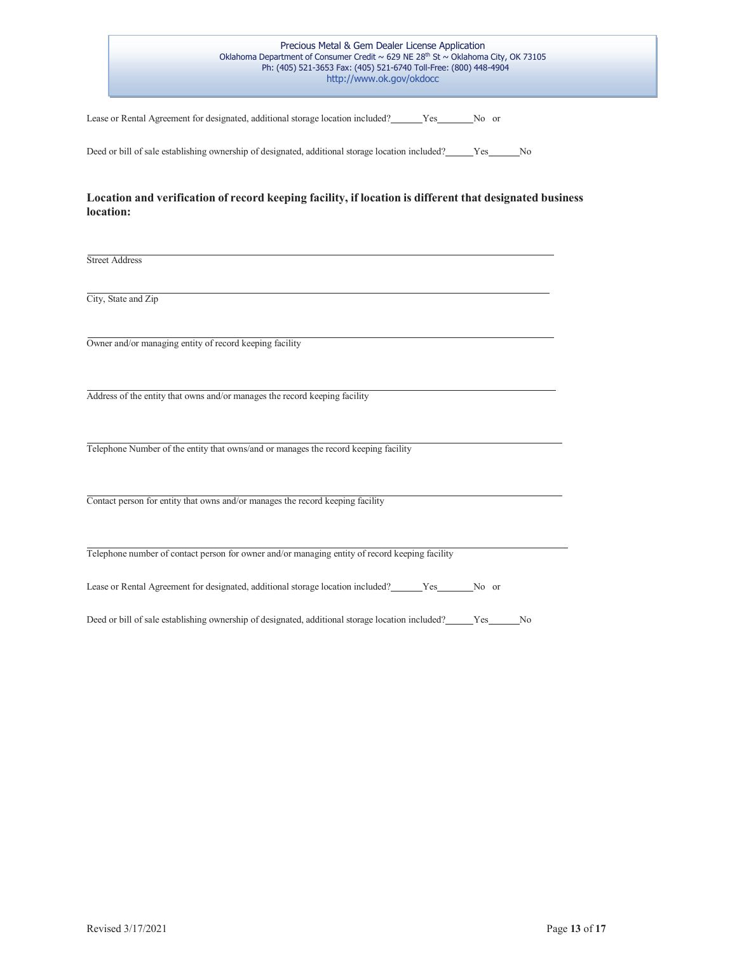Lease or Rental Agreement for designated, additional storage location included? Ves No or

Deed or bill of sale establishing ownership of designated, additional storage location included? \_\_\_\_\_Yes \_\_\_\_\_No

#### **Location and verification of record keeping facility, if location is different that designated business location:**

Street Address

City, State and Zip

Owner and/or managing entity of record keeping facility

Address of the entity that owns and/or manages the record keeping facility

Telephone Number of the entity that owns/and or manages the record keeping facility

Contact person for entity that owns and/or manages the record keeping facility

Telephone number of contact person for owner and/or managing entity of record keeping facility

Lease or Rental Agreement for designated, additional storage location included? Yes No or

Deed or bill of sale establishing ownership of designated, additional storage location included? \_\_\_\_\_Yes \_\_\_\_\_No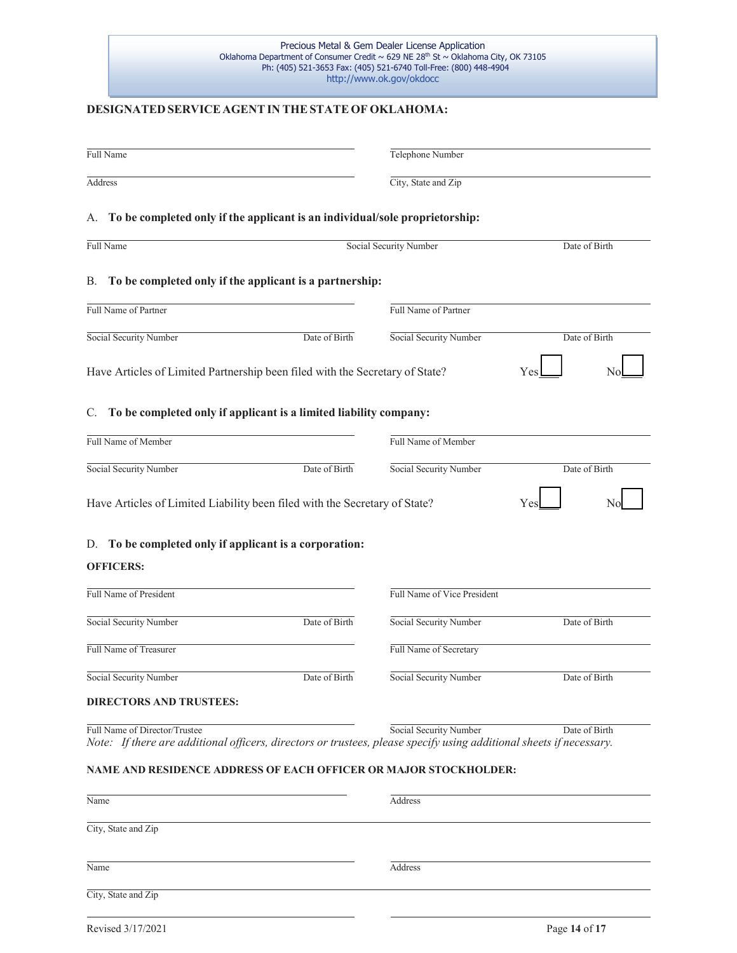#### **DESIGNATED SERVICE AGENTIN THESTATEOF OKLAHOMA:**

| Full Name                                                                                                                                                |               | Telephone Number            |               |
|----------------------------------------------------------------------------------------------------------------------------------------------------------|---------------|-----------------------------|---------------|
| Address                                                                                                                                                  |               | City, State and Zip         |               |
| A. To be completed only if the applicant is an individual/sole proprietorship:                                                                           |               |                             |               |
| Full Name                                                                                                                                                |               | Social Security Number      | Date of Birth |
| В.<br>To be completed only if the applicant is a partnership:                                                                                            |               |                             |               |
| Full Name of Partner                                                                                                                                     |               | Full Name of Partner        |               |
| Social Security Number                                                                                                                                   | Date of Birth | Social Security Number      | Date of Birth |
| Have Articles of Limited Partnership been filed with the Secretary of State?                                                                             |               |                             | Yes           |
| C. To be completed only if applicant is a limited liability company:                                                                                     |               |                             |               |
| Full Name of Member                                                                                                                                      |               | Full Name of Member         |               |
| Social Security Number                                                                                                                                   | Date of Birth | Social Security Number      | Date of Birth |
| Have Articles of Limited Liability been filed with the Secretary of State?<br>D. To be completed only if applicant is a corporation:<br><b>OFFICERS:</b> |               |                             | Υe<br>N       |
| Full Name of President                                                                                                                                   |               | Full Name of Vice President |               |
| Social Security Number                                                                                                                                   | Date of Birth | Social Security Number      | Date of Birth |
| Full Name of Treasurer                                                                                                                                   |               | Full Name of Secretary      |               |
| Social Security Number                                                                                                                                   | Date of Birth | Social Security Number      | Date of Birth |
| <b>DIRECTORS AND TRUSTEES:</b>                                                                                                                           |               |                             |               |
| Full Name of Director/Trustee<br>Note: If there are additional officers, directors or trustees, please specify using additional sheets if necessary.     |               | Social Security Number      | Date of Birth |
| NAME AND RESIDENCE ADDRESS OF EACH OFFICER OR MAJOR STOCKHOLDER:                                                                                         |               |                             |               |
| Name                                                                                                                                                     |               | Address                     |               |
| City, State and Zip                                                                                                                                      |               |                             |               |
| Name                                                                                                                                                     |               | Address                     |               |
| City, State and Zip                                                                                                                                      |               |                             |               |
|                                                                                                                                                          |               |                             |               |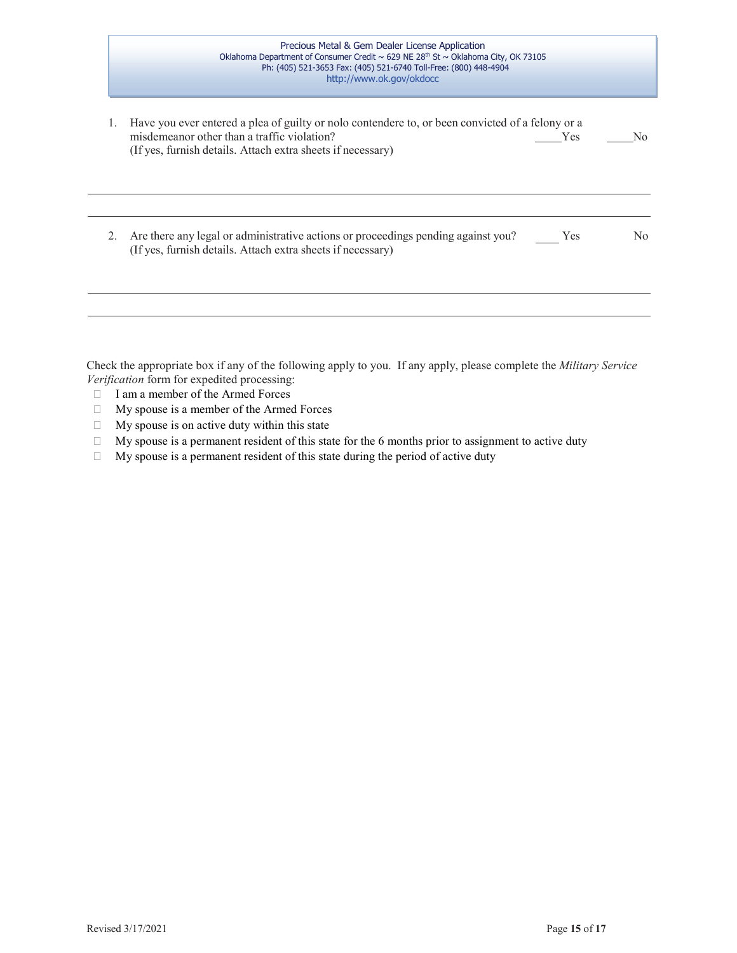| Precious Metal & Gem Dealer License Application                                               |  |
|-----------------------------------------------------------------------------------------------|--|
| Oklahoma Department of Consumer Credit ~ 629 NE 28 <sup>th</sup> St ~ Oklahoma City, OK 73105 |  |
| Ph: (405) 521-3653 Fax: (405) 521-6740 Toll-Free: (800) 448-4904                              |  |
| http://www.ok.gov/okdocc                                                                      |  |
|                                                                                               |  |

|    | Have you ever entered a plea of guilty or nolo contendere to, or been convicted of a felony or a<br>misdemeanor other than a traffic violation?<br>(If yes, furnish details. Attach extra sheets if necessary) | <b>Yes</b> | No. |
|----|----------------------------------------------------------------------------------------------------------------------------------------------------------------------------------------------------------------|------------|-----|
| 2. | Are there any legal or administrative actions or proceedings pending against you?<br>(If yes, furnish details. Attach extra sheets if necessary)                                                               | Yes        | No  |
|    |                                                                                                                                                                                                                |            |     |

Check the appropriate box if any of the following apply to you. If any apply, please complete the *Military Service Verification* form for expedited processing:

- I am a member of the Armed Forces
- My spouse is a member of the Armed Forces
- $\Box$  My spouse is on active duty within this state
- $\Box$  My spouse is a permanent resident of this state for the 6 months prior to assignment to active duty
- $\Box$  My spouse is a permanent resident of this state during the period of active duty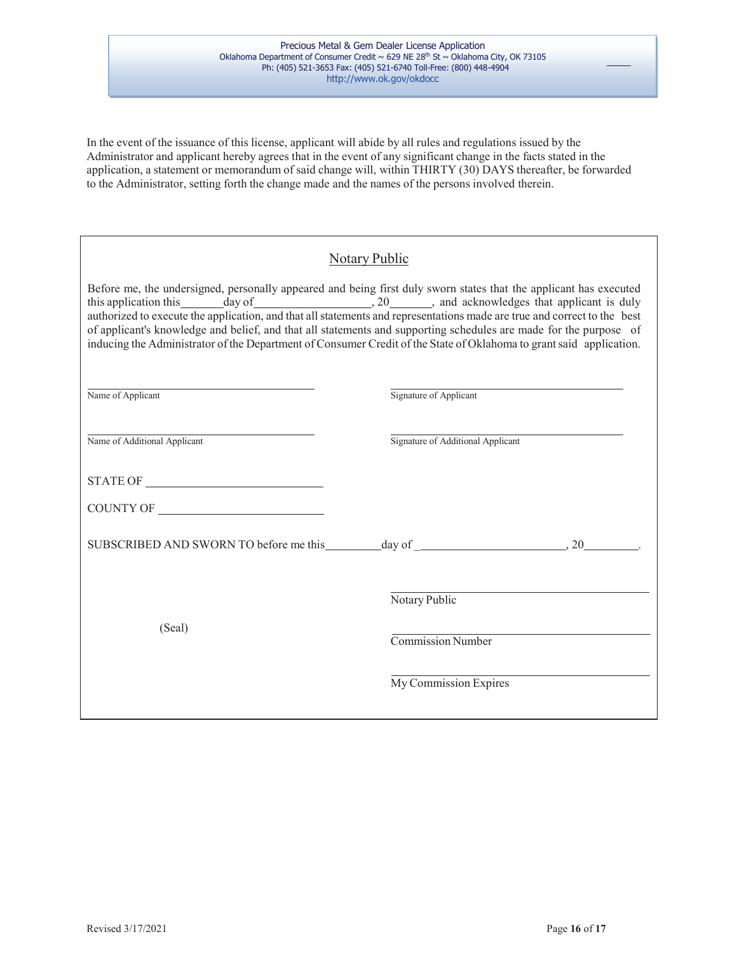In the event of the issuance of this license, applicant will abide by all rules and regulations issued by the Administrator and applicant hereby agrees that in the event of any significant change in the facts stated in the application, a statement or memorandum of said change will, within THIRTY (30) DAYS thereafter, be forwarded to the Administrator, setting forth the change made and the names of the persons involved therein.

## Notary Public

Before me, the undersigned, personally appeared and being first duly sworn states that the applicant has executed this application this day of , 20 , and acknowledges that applicant is duly authorized to execute the application, and that all statements and representations made are true and correct to the best of applicant's knowledge and belief, and that all statements and supporting schedules are made for the purpose of inducing the Administrator of the Department of Consumer Credit of the State of Oklahoma to grantsaid application.

| Name of Applicant            | Signature of Applicant            |  |
|------------------------------|-----------------------------------|--|
| Name of Additional Applicant | Signature of Additional Applicant |  |
|                              |                                   |  |
|                              |                                   |  |
|                              |                                   |  |
| (Seal)                       | Notary Public                     |  |
|                              | Commission Number                 |  |
|                              | My Commission Expires             |  |